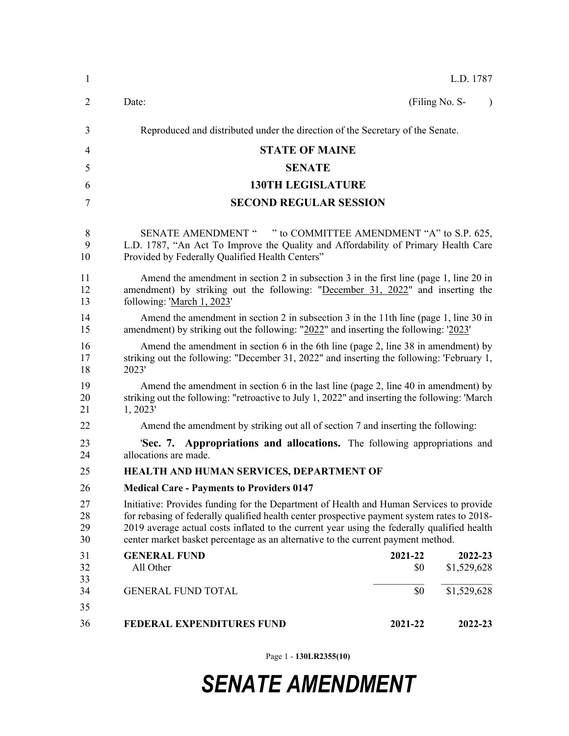| $\mathbf{1}$         |                                                                                                                                                                                                                                                                                                                                                                           |                | L.D. 1787              |           |  |  |
|----------------------|---------------------------------------------------------------------------------------------------------------------------------------------------------------------------------------------------------------------------------------------------------------------------------------------------------------------------------------------------------------------------|----------------|------------------------|-----------|--|--|
| 2                    | Date:                                                                                                                                                                                                                                                                                                                                                                     |                | (Filing No. S-         | $\lambda$ |  |  |
| 3                    | Reproduced and distributed under the direction of the Secretary of the Senate.                                                                                                                                                                                                                                                                                            |                |                        |           |  |  |
| $\overline{4}$       | <b>STATE OF MAINE</b>                                                                                                                                                                                                                                                                                                                                                     |                |                        |           |  |  |
| 5                    | <b>SENATE</b>                                                                                                                                                                                                                                                                                                                                                             |                |                        |           |  |  |
| 6                    | <b>130TH LEGISLATURE</b>                                                                                                                                                                                                                                                                                                                                                  |                |                        |           |  |  |
| 7                    | <b>SECOND REGULAR SESSION</b>                                                                                                                                                                                                                                                                                                                                             |                |                        |           |  |  |
| 8<br>9<br>10         | SENATE AMENDMENT " " to COMMITTEE AMENDMENT "A" to S.P. 625,<br>L.D. 1787, "An Act To Improve the Quality and Affordability of Primary Health Care<br>Provided by Federally Qualified Health Centers"                                                                                                                                                                     |                |                        |           |  |  |
| 11<br>12<br>13       | Amend the amendment in section 2 in subsection 3 in the first line (page 1, line 20 in<br>amendment) by striking out the following: "December 31, 2022" and inserting the<br>following: 'March 1, 2023'                                                                                                                                                                   |                |                        |           |  |  |
| 14<br>15             | Amend the amendment in section 2 in subsection 3 in the 11th line (page 1, line 30 in<br>amendment) by striking out the following: "2022" and inserting the following: '2023'                                                                                                                                                                                             |                |                        |           |  |  |
| 16<br>17<br>18       | Amend the amendment in section 6 in the 6th line (page 2, line 38 in amendment) by<br>striking out the following: "December 31, 2022" and inserting the following: 'February 1,<br>2023'                                                                                                                                                                                  |                |                        |           |  |  |
| 19<br>20<br>21       | Amend the amendment in section 6 in the last line (page 2, line 40 in amendment) by<br>striking out the following: "retroactive to July 1, 2022" and inserting the following: 'March<br>1, 2023'                                                                                                                                                                          |                |                        |           |  |  |
| 22                   | Amend the amendment by striking out all of section 7 and inserting the following:                                                                                                                                                                                                                                                                                         |                |                        |           |  |  |
| 23<br>24             | 'Sec. 7. Appropriations and allocations. The following appropriations and<br>allocations are made.                                                                                                                                                                                                                                                                        |                |                        |           |  |  |
| 25                   | HEALTH AND HUMAN SERVICES, DEPARTMENT OF                                                                                                                                                                                                                                                                                                                                  |                |                        |           |  |  |
| 26                   | <b>Medical Care - Payments to Providers 0147</b>                                                                                                                                                                                                                                                                                                                          |                |                        |           |  |  |
| 27<br>28<br>29<br>30 | Initiative: Provides funding for the Department of Health and Human Services to provide<br>for rebasing of federally qualified health center prospective payment system rates to 2018-<br>2019 average actual costs inflated to the current year using the federally qualified health<br>center market basket percentage as an alternative to the current payment method. |                |                        |           |  |  |
| 31<br>32<br>33       | <b>GENERAL FUND</b><br>All Other                                                                                                                                                                                                                                                                                                                                          | 2021-22<br>\$0 | 2022-23<br>\$1,529,628 |           |  |  |
| 34<br>35             | <b>GENERAL FUND TOTAL</b>                                                                                                                                                                                                                                                                                                                                                 | \$0            | \$1,529,628            |           |  |  |
| 36                   | <b>FEDERAL EXPENDITURES FUND</b>                                                                                                                                                                                                                                                                                                                                          | 2021-22        | 2022-23                |           |  |  |
|                      |                                                                                                                                                                                                                                                                                                                                                                           |                |                        |           |  |  |

Page 1 - **130LR2355(10)**

## *SENATE AMENDMENT*